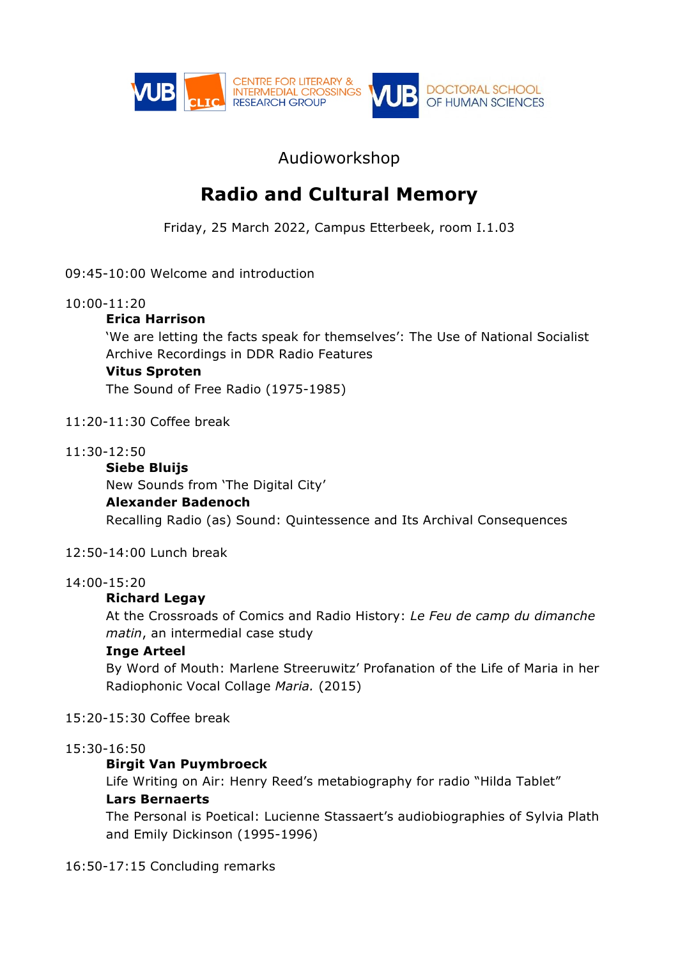

# Audioworkshop

# **Radio and Cultural Memory**

Friday, 25 March 2022, Campus Etterbeek, room I.1.03

09:45-10:00 Welcome and introduction

### 10:00-11:20

### **Erica Harrison**

'We are letting the facts speak for themselves': The Use of National Socialist Archive Recordings in DDR Radio Features

### **Vitus Sproten**

The Sound of Free Radio (1975-1985)

### 11:20-11:30 Coffee break

#### 11:30-12:50

# **Siebe Bluijs**

New Sounds from 'The Digital City'

#### **Alexander Badenoch**

Recalling Radio (as) Sound: Quintessence and Its Archival Consequences

#### 12:50-14:00 Lunch break

#### 14:00-15:20

# **Richard Legay**

At the Crossroads of Comics and Radio History: *Le Feu de camp du dimanche matin*, an intermedial case study

#### **Inge Arteel**

By Word of Mouth: Marlene Streeruwitz' Profanation of the Life of Maria in her Radiophonic Vocal Collage *Maria.* (2015)

# 15:20-15:30 Coffee break

#### 15:30-16:50

# **Birgit Van Puymbroeck**

Life Writing on Air: Henry Reed's metabiography for radio "Hilda Tablet" **Lars Bernaerts** 

The Personal is Poetical: Lucienne Stassaert's audiobiographies of Sylvia Plath and Emily Dickinson (1995-1996)

# 16:50-17:15 Concluding remarks